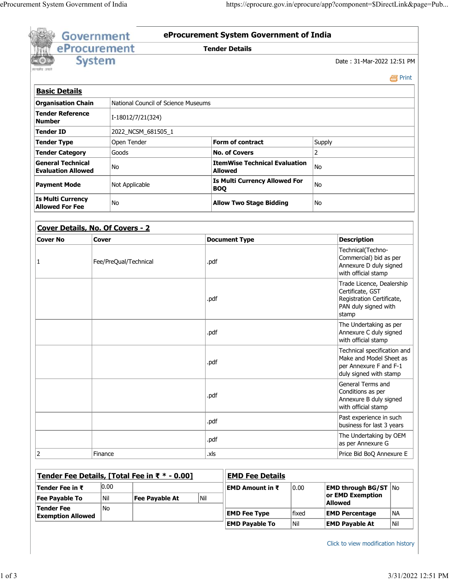|                                                                  | eProcurement  |                       |                                               |             | <b>Tender Details</b>                                  |                                                                       |                                                                                                             |           |  |
|------------------------------------------------------------------|---------------|-----------------------|-----------------------------------------------|-------------|--------------------------------------------------------|-----------------------------------------------------------------------|-------------------------------------------------------------------------------------------------------------|-----------|--|
|                                                                  | <b>System</b> |                       |                                               |             |                                                        |                                                                       | Date: 31-Mar-2022 12:51 PM                                                                                  |           |  |
|                                                                  |               |                       |                                               |             |                                                        |                                                                       |                                                                                                             |           |  |
|                                                                  |               |                       |                                               |             |                                                        |                                                                       |                                                                                                             | e Print   |  |
| <b>Basic Details</b>                                             |               |                       |                                               |             |                                                        |                                                                       |                                                                                                             |           |  |
| National Council of Science Museums<br><b>Organisation Chain</b> |               |                       |                                               |             |                                                        |                                                                       |                                                                                                             |           |  |
| <b>Tender Reference</b><br>I-18012/7/21(324)<br><b>Number</b>    |               |                       |                                               |             |                                                        |                                                                       |                                                                                                             |           |  |
| <b>Tender ID</b><br>2022_NCSM_681505_1                           |               |                       |                                               |             |                                                        |                                                                       |                                                                                                             |           |  |
| <b>Tender Type</b>                                               |               | Open Tender           |                                               |             | <b>Form of contract</b>                                | Supply                                                                |                                                                                                             |           |  |
| <b>Tender Category</b>                                           |               | Goods                 |                                               |             | <b>No. of Covers</b>                                   | $\overline{2}$                                                        |                                                                                                             |           |  |
| <b>General Technical</b><br><b>Evaluation Allowed</b>            |               | No.                   |                                               |             | <b>ItemWise Technical Evaluation</b><br><b>Allowed</b> | No                                                                    |                                                                                                             |           |  |
| <b>Payment Mode</b>                                              |               | Not Applicable        |                                               |             | <b>Is Multi Currency Allowed For</b><br><b>BOQ</b>     |                                                                       |                                                                                                             |           |  |
| <b>Is Multi Currency</b><br><b>No</b><br><b>Allowed For Fee</b>  |               |                       |                                               |             | <b>Allow Two Stage Bidding</b>                         | No                                                                    |                                                                                                             |           |  |
| Cover Details, No. Of Covers - 2                                 |               |                       |                                               |             |                                                        |                                                                       |                                                                                                             |           |  |
| <b>Cover No</b>                                                  | <b>Cover</b>  |                       |                                               |             | <b>Document Type</b>                                   |                                                                       | <b>Description</b>                                                                                          |           |  |
| 1                                                                |               | Fee/PreQual/Technical |                                               |             |                                                        | Technical(Techno-<br>Commercial) bid as per<br>Annexure D duly signed |                                                                                                             |           |  |
|                                                                  |               |                       |                                               |             |                                                        |                                                                       | with official stamp                                                                                         |           |  |
|                                                                  |               |                       |                                               | .pdf        |                                                        |                                                                       | Trade Licence, Dealership<br>Certificate, GST<br>Registration Certificate,<br>PAN duly signed with<br>stamp |           |  |
|                                                                  |               |                       |                                               | .pdf        |                                                        |                                                                       | The Undertaking as per<br>Annexure C duly signed<br>with official stamp                                     |           |  |
|                                                                  |               |                       |                                               | .pdf        |                                                        |                                                                       | Technical specification and<br>Make and Model Sheet as<br>per Annexure F and F-1<br>duly signed with stamp  |           |  |
|                                                                  |               |                       |                                               | .pdf        |                                                        |                                                                       | General Terms and<br>Conditions as per<br>Annexure B duly signed<br>with official stamp                     |           |  |
|                                                                  |               |                       |                                               | .pdf        |                                                        |                                                                       | Past experience in such<br>business for last 3 years                                                        |           |  |
|                                                                  |               |                       |                                               | .pdf        |                                                        |                                                                       | The Undertaking by OEM<br>as per Annexure G                                                                 |           |  |
| 2                                                                | Finance       |                       |                                               | .xls        |                                                        |                                                                       | Price Bid BoQ Annexure E                                                                                    |           |  |
|                                                                  |               |                       |                                               |             |                                                        |                                                                       |                                                                                                             |           |  |
|                                                                  | 0.00          |                       | Tender Fee Details, [Total Fee in ₹ * - 0.00] |             | <b>EMD Fee Details</b>                                 |                                                                       |                                                                                                             |           |  |
| Tender Fee in $\bar{\tau}$                                       | Nil           |                       |                                               | $\vert$ Nil | <b>EMD Amount in ₹</b><br>0.00                         |                                                                       | <b>EMD through BG/ST</b> No<br>or EMD Exemption                                                             |           |  |
| <b>Fee Payable To</b><br><b>Tender Fee</b>                       | No            |                       | <b>Fee Payable At</b>                         |             | fixed<br><b>EMD Fee Type</b>                           |                                                                       | <b>Allowed</b><br><b>EMD Percentage</b>                                                                     | <b>NA</b> |  |

Click to view modification history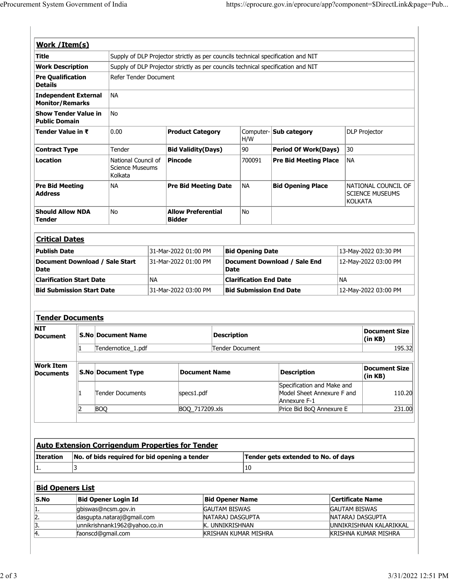| Work / Item(s)                                           |           |                                                             |                                                                                                                                                                      |                                            |                                     |                                             |                                                                          |                         |                                               |  |
|----------------------------------------------------------|-----------|-------------------------------------------------------------|----------------------------------------------------------------------------------------------------------------------------------------------------------------------|--------------------------------------------|-------------------------------------|---------------------------------------------|--------------------------------------------------------------------------|-------------------------|-----------------------------------------------|--|
| <b>Title</b>                                             |           |                                                             |                                                                                                                                                                      |                                            |                                     |                                             |                                                                          |                         |                                               |  |
| <b>Work Description</b>                                  |           |                                                             | Supply of DLP Projector strictly as per councils technical specification and NIT<br>Supply of DLP Projector strictly as per councils technical specification and NIT |                                            |                                     |                                             |                                                                          |                         |                                               |  |
| <b>Pre Qualification</b><br><b>Details</b>               |           |                                                             | Refer Tender Document                                                                                                                                                |                                            |                                     |                                             |                                                                          |                         |                                               |  |
| <b>Independent External</b><br><b>Monitor/Remarks</b>    | <b>NA</b> |                                                             |                                                                                                                                                                      |                                            |                                     |                                             |                                                                          |                         |                                               |  |
| <b>Show Tender Value in</b><br><b>Public Domain</b>      |           | No                                                          |                                                                                                                                                                      |                                            |                                     |                                             |                                                                          |                         |                                               |  |
| Tender Value in ₹                                        |           | 0.00                                                        | <b>Product Category</b>                                                                                                                                              |                                            |                                     | Computer-<br>H/W                            | Sub category                                                             |                         | <b>DLP Projector</b>                          |  |
| <b>Contract Type</b>                                     |           | Tender                                                      | <b>Bid Validity(Days)</b>                                                                                                                                            |                                            |                                     | 90                                          | <b>Period Of Work(Days)</b>                                              | 30                      |                                               |  |
| <b>Location</b>                                          |           | Kolkata                                                     | <b>Pincode</b><br>National Council of<br><b>Science Museums</b>                                                                                                      |                                            |                                     | 700091                                      | <b>Pre Bid Meeting Place</b>                                             | <b>NA</b>               |                                               |  |
| <b>Pre Bid Meeting</b><br><b>Address</b>                 |           | NА                                                          | <b>Pre Bid Meeting Date</b>                                                                                                                                          |                                            |                                     | <b>NA</b>                                   | <b>Bid Opening Place</b>                                                 | <b>KOLKATA</b>          | NATIONAL COUNCIL OF<br><b>SCIENCE MUSEUMS</b> |  |
| <b>Should Allow NDA</b><br><b>Tender</b>                 |           | <b>No</b>                                                   |                                                                                                                                                                      | <b>Allow Preferential</b><br><b>Bidder</b> |                                     | No                                          |                                                                          |                         |                                               |  |
| <b>Critical Dates</b>                                    |           |                                                             |                                                                                                                                                                      |                                            |                                     |                                             |                                                                          |                         |                                               |  |
| <b>Publish Date</b>                                      |           | 31-Mar-2022 01:00 PM                                        |                                                                                                                                                                      |                                            | <b>Bid Opening Date</b>             |                                             | 13-May-2022 03:30 PM                                                     |                         |                                               |  |
| Document Download / Sale Start<br><b>Date</b>            |           |                                                             | 31-Mar-2022 01:00 PM                                                                                                                                                 |                                            |                                     | Document Download / Sale End<br><b>Date</b> |                                                                          | 12-May-2022 03:00 PM    |                                               |  |
| <b>Clarification Start Date</b>                          |           |                                                             | <b>NA</b>                                                                                                                                                            |                                            |                                     | <b>Clarification End Date</b>               |                                                                          |                         | <b>NA</b>                                     |  |
| <b>Bid Submission Start Date</b>                         |           | 31-Mar-2022 03:00 PM                                        |                                                                                                                                                                      |                                            | <b>Bid Submission End Date</b>      |                                             |                                                                          | 12-May-2022 03:00 PM    |                                               |  |
| <b>Tender Documents</b>                                  |           |                                                             |                                                                                                                                                                      |                                            |                                     |                                             |                                                                          |                         |                                               |  |
| <b>NIT</b><br>Document                                   |           | <b>S.No Document Name</b>                                   |                                                                                                                                                                      |                                            |                                     | <b>Description</b>                          |                                                                          |                         | <b>Document Size</b><br>(in KB)               |  |
|                                                          | 1         | Tendernotice_1.pdf                                          |                                                                                                                                                                      |                                            | Tender Document                     |                                             |                                                                          |                         | 195.32                                        |  |
| <b>Work Item</b><br><b>Documents</b>                     |           | <b>S.No Document Type</b>                                   |                                                                                                                                                                      |                                            | <b>Document Name</b>                |                                             | <b>Description</b>                                                       |                         | <b>Document Size</b>                          |  |
|                                                          |           |                                                             |                                                                                                                                                                      |                                            |                                     |                                             |                                                                          |                         | (in KB)                                       |  |
|                                                          | 11        | Tender Documents                                            |                                                                                                                                                                      | specs1.pdf                                 |                                     |                                             | Specification and Make and<br>Model Sheet Annexure F and<br>Annexure F-1 |                         | 110.20                                        |  |
|                                                          | 12        | <b>BOQ</b>                                                  |                                                                                                                                                                      | BOQ_717209.xls                             |                                     |                                             | Price Bid BoQ Annexure E                                                 |                         | 231.00                                        |  |
|                                                          |           | <b>Auto Extension Corrigendum Properties for Tender</b>     |                                                                                                                                                                      |                                            |                                     |                                             |                                                                          |                         |                                               |  |
|                                                          |           | No. of bids required for bid opening a tender               |                                                                                                                                                                      |                                            |                                     |                                             | Tender gets extended to No. of days                                      |                         |                                               |  |
|                                                          | 3         |                                                             |                                                                                                                                                                      |                                            |                                     | 10                                          |                                                                          |                         |                                               |  |
|                                                          |           |                                                             |                                                                                                                                                                      |                                            |                                     |                                             |                                                                          |                         |                                               |  |
|                                                          |           | <b>Bid Opener Login Id</b>                                  |                                                                                                                                                                      |                                            | <b>Bid Opener Name</b>              |                                             |                                                                          | <b>Certificate Name</b> |                                               |  |
| Iteration<br>1.<br><b>Bid Openers List</b><br>S.No<br>1. |           | gbiswas@ncsm.gov.in                                         |                                                                                                                                                                      |                                            | <b>GAUTAM BISWAS</b>                |                                             |                                                                          | <b>GAUTAM BISWAS</b>    |                                               |  |
| $\frac{2}{3}$<br>$\frac{3}{4}$                           |           | dasgupta.nataraj@gmail.com<br>unnikrishnank1962@yahoo.co.in |                                                                                                                                                                      |                                            | NATARAJ DASGUPTA<br>K. UNNIKRISHNAN |                                             |                                                                          |                         | NATARAJ DASGUPTA<br>UNNIKRISHNAN KALARIKKAL   |  |